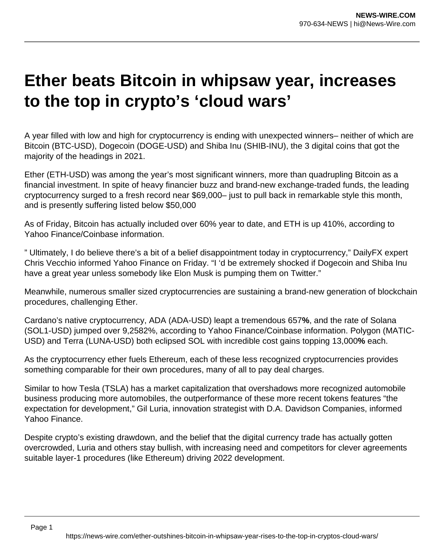## **Ether beats Bitcoin in whipsaw year, increases to the top in crypto's 'cloud wars'**

A year filled with low and high for cryptocurrency is ending with unexpected winners– neither of which are Bitcoin (BTC-USD), Dogecoin (DOGE-USD) and Shiba Inu (SHIB-INU), the 3 digital coins that got the majority of the headings in 2021.

Ether (ETH-USD) was among the year's most significant winners, more than quadrupling Bitcoin as a financial investment. In spite of heavy financier buzz and brand-new exchange-traded funds, the leading cryptocurrency surged to a fresh record near \$69,000– just to pull back in remarkable style this month, and is presently suffering listed below \$50,000

As of Friday, Bitcoin has actually included over 60% year to date, and ETH is up 410%, according to Yahoo Finance/Coinbase information.

" Ultimately, I do believe there's a bit of a belief disappointment today in cryptocurrency," DailyFX expert Chris Vecchio informed Yahoo Finance on Friday. "I 'd be extremely shocked if Dogecoin and Shiba Inu have a great year unless somebody like Elon Musk is pumping them on Twitter."

Meanwhile, numerous smaller sized cryptocurrencies are sustaining a brand-new generation of blockchain procedures, challenging Ether.

Cardano's native cryptocurrency, ADA (ADA-USD) leapt a tremendous 657**%**, and the rate of Solana (SOL1-USD) jumped over 9,2582%, according to Yahoo Finance/Coinbase information. Polygon (MATIC-USD) and Terra (LUNA-USD) both eclipsed SOL with incredible cost gains topping 13,000**%** each.

As the cryptocurrency ether fuels Ethereum, each of these less recognized cryptocurrencies provides something comparable for their own procedures, many of all to pay deal charges.

Similar to how Tesla (TSLA) has a market capitalization that overshadows more recognized automobile business producing more automobiles, the outperformance of these more recent tokens features "the expectation for development," Gil Luria, innovation strategist with D.A. Davidson Companies, informed Yahoo Finance.

Despite crypto's existing drawdown, and the belief that the digital currency trade has actually gotten overcrowded, Luria and others stay bullish, with increasing need and competitors for clever agreements suitable layer-1 procedures (like Ethereum) driving 2022 development.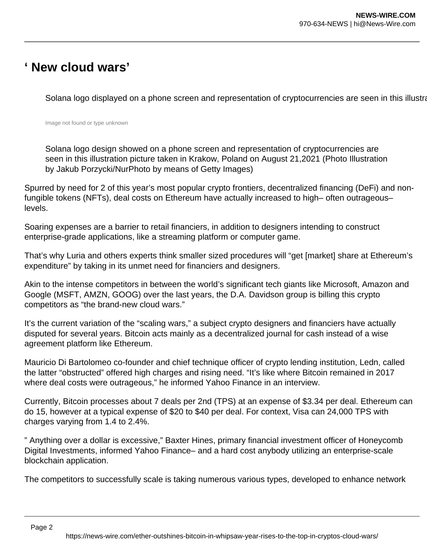## **' New cloud wars'**

Solana logo displayed on a phone screen and representation of cryptocurrencies are seen in this illustration p

Image not found or type unknown

Solana logo design showed on a phone screen and representation of cryptocurrencies are seen in this illustration picture taken in Krakow, Poland on August 21,2021 (Photo Illustration by Jakub Porzycki/NurPhoto by means of Getty Images)

Spurred by need for 2 of this year's most popular crypto frontiers, decentralized financing (DeFi) and nonfungible tokens (NFTs), deal costs on Ethereum have actually increased to high– often outrageous– levels.

Soaring expenses are a barrier to retail financiers, in addition to designers intending to construct enterprise-grade applications, like a streaming platform or computer game.

That's why Luria and others experts think smaller sized procedures will "get [market] share at Ethereum's expenditure" by taking in its unmet need for financiers and designers.

Akin to the intense competitors in between the world's significant tech giants like Microsoft, Amazon and Google (MSFT, AMZN, GOOG) over the last years, the D.A. Davidson group is billing this crypto competitors as "the brand-new cloud wars."

It's the current variation of the "scaling wars," a subject crypto designers and financiers have actually disputed for several years. Bitcoin acts mainly as a decentralized journal for cash instead of a wise agreement platform like Ethereum.

Mauricio Di Bartolomeo co-founder and chief technique officer of crypto lending institution, Ledn, called the latter "obstructed" offered high charges and rising need. "It's like where Bitcoin remained in 2017 where deal costs were outrageous," he informed Yahoo Finance in an interview.

Currently, Bitcoin processes about 7 deals per 2nd (TPS) at an expense of \$3.34 per deal. Ethereum can do 15, however at a typical expense of \$20 to \$40 per deal. For context, Visa can 24,000 TPS with charges varying from 1.4 to 2.4%.

" Anything over a dollar is excessive," Baxter Hines, primary financial investment officer of Honeycomb Digital Investments, informed Yahoo Finance– and a hard cost anybody utilizing an enterprise-scale blockchain application.

The competitors to successfully scale is taking numerous various types, developed to enhance network

Page 2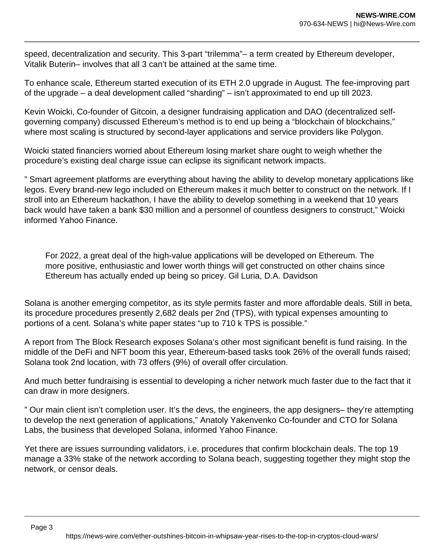speed, decentralization and security. This 3-part "trilemma"– a term created by Ethereum developer, Vitalik Buterin– involves that all 3 can't be attained at the same time.

To enhance scale, Ethereum started execution of its ETH 2.0 upgrade in August. The fee-improving part of the upgrade – a deal development called "sharding" – isn't approximated to end up till 2023.

Kevin Woicki, Co-founder of Gitcoin, a designer fundraising application and DAO (decentralized selfgoverning company) discussed Ethereum's method is to end up being a "blockchain of blockchains," where most scaling is structured by second-layer applications and service providers like Polygon.

Woicki stated financiers worried about Ethereum losing market share ought to weigh whether the procedure's existing deal charge issue can eclipse its significant network impacts.

" Smart agreement platforms are everything about having the ability to develop monetary applications like legos. Every brand-new lego included on Ethereum makes it much better to construct on the network. If I stroll into an Ethereum hackathon, I have the ability to develop something in a weekend that 10 years back would have taken a bank \$30 million and a personnel of countless designers to construct," Woicki informed Yahoo Finance.

For 2022, a great deal of the high-value applications will be developed on Ethereum. The more positive, enthusiastic and lower worth things will get constructed on other chains since Ethereum has actually ended up being so pricey. Gil Luria, D.A. Davidson

Solana is another emerging competitor, as its style permits faster and more affordable deals. Still in beta, its procedure procedures presently 2,682 deals per 2nd (TPS), with typical expenses amounting to portions of a cent. Solana's white paper states "up to 710 k TPS is possible."

A report from The Block Research exposes Solana's other most significant benefit is fund raising. In the middle of the DeFi and NFT boom this year, Ethereum-based tasks took 26% of the overall funds raised; Solana took 2nd location, with 73 offers (9%) of overall offer circulation.

And much better fundraising is essential to developing a richer network much faster due to the fact that it can draw in more designers.

" Our main client isn't completion user. It's the devs, the engineers, the app designers– they're attempting to develop the next generation of applications," Anatoly Yakenvenko Co-founder and CTO for Solana Labs, the business that developed Solana, informed Yahoo Finance.

Yet there are issues surrounding validators, i.e. procedures that confirm blockchain deals. The top 19 manage a 33% stake of the network according to Solana beach, suggesting together they might stop the network, or censor deals.

Page 3